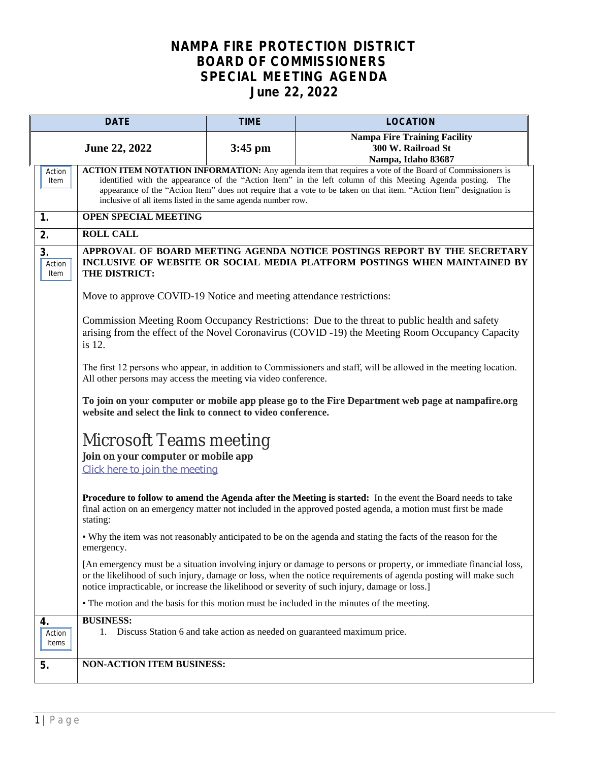## **NAMPA FIRE PROTECTION DISTRICT BOARD OF COMMISSIONERS SPECIAL MEETING AGENDA June 22, 2022**

| <b>DATE</b>           |                                                                                                                                                                                                                                                                                                                                                                                                              | <b>TIME</b> | <b>LOCATION</b>                                                                                                                                                                                                                                                                                                                       |  |
|-----------------------|--------------------------------------------------------------------------------------------------------------------------------------------------------------------------------------------------------------------------------------------------------------------------------------------------------------------------------------------------------------------------------------------------------------|-------------|---------------------------------------------------------------------------------------------------------------------------------------------------------------------------------------------------------------------------------------------------------------------------------------------------------------------------------------|--|
| <b>June 22, 2022</b>  |                                                                                                                                                                                                                                                                                                                                                                                                              | $3:45$ pm   | <b>Nampa Fire Training Facility</b><br>300 W. Railroad St<br>Nampa, Idaho 83687                                                                                                                                                                                                                                                       |  |
| Action<br>Item        | ACTION ITEM NOTATION INFORMATION: Any agenda item that requires a vote of the Board of Commissioners is<br>identified with the appearance of the "Action Item" in the left column of this Meeting Agenda posting. The<br>appearance of the "Action Item" does not require that a vote to be taken on that item. "Action Item" designation is<br>inclusive of all items listed in the same agenda number row. |             |                                                                                                                                                                                                                                                                                                                                       |  |
| 1.                    | <b>OPEN SPECIAL MEETING</b>                                                                                                                                                                                                                                                                                                                                                                                  |             |                                                                                                                                                                                                                                                                                                                                       |  |
| 2.                    | <b>ROLL CALL</b>                                                                                                                                                                                                                                                                                                                                                                                             |             |                                                                                                                                                                                                                                                                                                                                       |  |
| 3.<br>Action<br>Item  | APPROVAL OF BOARD MEETING AGENDA NOTICE POSTINGS REPORT BY THE SECRETARY<br>INCLUSIVE OF WEBSITE OR SOCIAL MEDIA PLATFORM POSTINGS WHEN MAINTAINED BY<br>THE DISTRICT:                                                                                                                                                                                                                                       |             |                                                                                                                                                                                                                                                                                                                                       |  |
|                       | Move to approve COVID-19 Notice and meeting attendance restrictions:                                                                                                                                                                                                                                                                                                                                         |             |                                                                                                                                                                                                                                                                                                                                       |  |
|                       | Commission Meeting Room Occupancy Restrictions: Due to the threat to public health and safety<br>arising from the effect of the Novel Coronavirus (COVID -19) the Meeting Room Occupancy Capacity<br>is 12.                                                                                                                                                                                                  |             |                                                                                                                                                                                                                                                                                                                                       |  |
|                       | The first 12 persons who appear, in addition to Commissioners and staff, will be allowed in the meeting location.<br>All other persons may access the meeting via video conference.                                                                                                                                                                                                                          |             |                                                                                                                                                                                                                                                                                                                                       |  |
|                       | To join on your computer or mobile app please go to the Fire Department web page at nampafire.org<br>website and select the link to connect to video conference.                                                                                                                                                                                                                                             |             |                                                                                                                                                                                                                                                                                                                                       |  |
|                       | Microsoft Teams meeting                                                                                                                                                                                                                                                                                                                                                                                      |             |                                                                                                                                                                                                                                                                                                                                       |  |
|                       | Join on your computer or mobile app                                                                                                                                                                                                                                                                                                                                                                          |             |                                                                                                                                                                                                                                                                                                                                       |  |
|                       | Click here to join the meeting                                                                                                                                                                                                                                                                                                                                                                               |             |                                                                                                                                                                                                                                                                                                                                       |  |
|                       | stating:                                                                                                                                                                                                                                                                                                                                                                                                     |             | Procedure to follow to amend the Agenda after the Meeting is started: In the event the Board needs to take<br>final action on an emergency matter not included in the approved posted agenda, a motion must first be made                                                                                                             |  |
|                       | emergency.                                                                                                                                                                                                                                                                                                                                                                                                   |             | • Why the item was not reasonably anticipated to be on the agenda and stating the facts of the reason for the                                                                                                                                                                                                                         |  |
|                       |                                                                                                                                                                                                                                                                                                                                                                                                              |             | [An emergency must be a situation involving injury or damage to persons or property, or immediate financial loss,<br>or the likelihood of such injury, damage or loss, when the notice requirements of agenda posting will make such<br>notice impracticable, or increase the likelihood or severity of such injury, damage or loss.] |  |
|                       |                                                                                                                                                                                                                                                                                                                                                                                                              |             | • The motion and the basis for this motion must be included in the minutes of the meeting.                                                                                                                                                                                                                                            |  |
| 4.<br>Action<br>Items | <b>BUSINESS:</b><br>1. Discuss Station 6 and take action as needed on guaranteed maximum price.                                                                                                                                                                                                                                                                                                              |             |                                                                                                                                                                                                                                                                                                                                       |  |
| 5.                    | <b>NON-ACTION ITEM BUSINESS:</b>                                                                                                                                                                                                                                                                                                                                                                             |             |                                                                                                                                                                                                                                                                                                                                       |  |